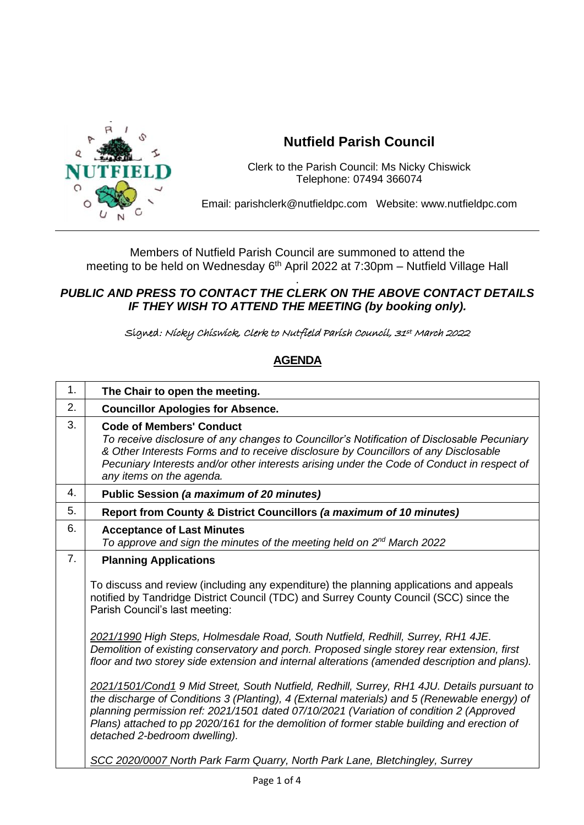

## **Nutfield Parish Council**

Clerk to the Parish Council: Ms Nicky Chiswick Telephone: 07494 366074

Email: parishclerk@nutfieldpc.com Website: www.nutfieldpc.com

Members of Nutfield Parish Council are summoned to attend the meeting to be held on Wednesday 6<sup>th</sup> April 2022 at 7:30pm – Nutfield Village Hall

## . *PUBLIC AND PRESS TO CONTACT THE CLERK ON THE ABOVE CONTACT DETAILS IF THEY WISH TO ATTEND THE MEETING (by booking only).*

Signed: Nicky Chiswick, Clerk to Nutfield Parish Council, 31st March 2022

## **AGENDA**

| 1.               | The Chair to open the meeting.                                                                                                                                                                                                                                                                                                                                                                                         |
|------------------|------------------------------------------------------------------------------------------------------------------------------------------------------------------------------------------------------------------------------------------------------------------------------------------------------------------------------------------------------------------------------------------------------------------------|
| 2.               | <b>Councillor Apologies for Absence.</b>                                                                                                                                                                                                                                                                                                                                                                               |
| 3.               | <b>Code of Members' Conduct</b><br>To receive disclosure of any changes to Councillor's Notification of Disclosable Pecuniary<br>& Other Interests Forms and to receive disclosure by Councillors of any Disclosable<br>Pecuniary Interests and/or other interests arising under the Code of Conduct in respect of<br>any items on the agenda.                                                                         |
| 4.               | Public Session (a maximum of 20 minutes)                                                                                                                                                                                                                                                                                                                                                                               |
| 5.               | Report from County & District Councillors (a maximum of 10 minutes)                                                                                                                                                                                                                                                                                                                                                    |
| 6.               | <b>Acceptance of Last Minutes</b><br>To approve and sign the minutes of the meeting held on 2 <sup>nd</sup> March 2022                                                                                                                                                                                                                                                                                                 |
| $\overline{7}$ . | <b>Planning Applications</b>                                                                                                                                                                                                                                                                                                                                                                                           |
|                  | To discuss and review (including any expenditure) the planning applications and appeals<br>notified by Tandridge District Council (TDC) and Surrey County Council (SCC) since the<br>Parish Council's last meeting:                                                                                                                                                                                                    |
|                  | 2021/1990 High Steps, Holmesdale Road, South Nutfield, Redhill, Surrey, RH1 4JE.<br>Demolition of existing conservatory and porch. Proposed single storey rear extension, first<br>floor and two storey side extension and internal alterations (amended description and plans).                                                                                                                                       |
|                  | 2021/1501/Cond1 9 Mid Street, South Nutfield, Redhill, Surrey, RH1 4JU. Details pursuant to<br>the discharge of Conditions 3 (Planting), 4 (External materials) and 5 (Renewable energy) of<br>planning permission ref: 2021/1501 dated 07/10/2021 (Variation of condition 2 (Approved<br>Plans) attached to pp 2020/161 for the demolition of former stable building and erection of<br>detached 2-bedroom dwelling). |
|                  | SCC 2020/0007 North Park Farm Quarry, North Park Lane, Bletchingley, Surrey                                                                                                                                                                                                                                                                                                                                            |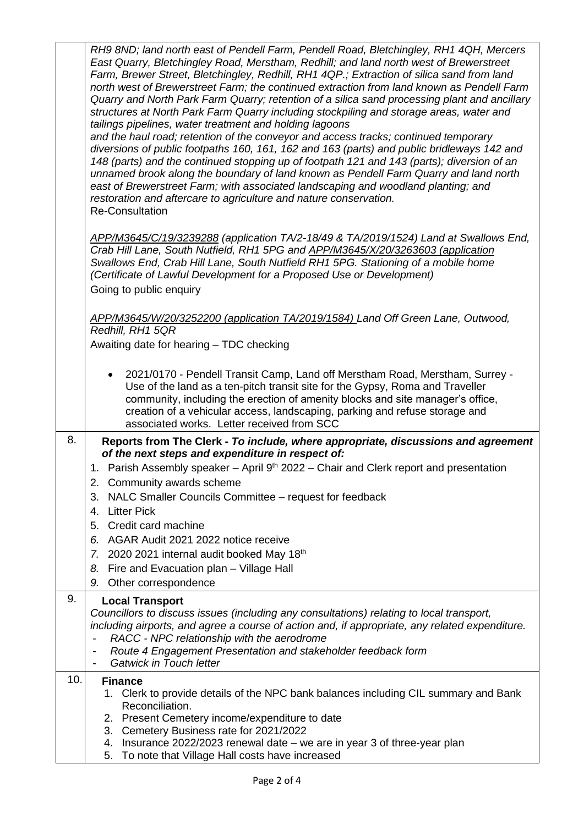|     | RH9 8ND; land north east of Pendell Farm, Pendell Road, Bletchingley, RH1 4QH, Mercers<br>East Quarry, Bletchingley Road, Merstham, Redhill; and land north west of Brewerstreet<br>Farm, Brewer Street, Bletchingley, Redhill, RH1 4QP.; Extraction of silica sand from land<br>north west of Brewerstreet Farm; the continued extraction from land known as Pendell Farm<br>Quarry and North Park Farm Quarry; retention of a silica sand processing plant and ancillary<br>structures at North Park Farm Quarry including stockpiling and storage areas, water and<br>tailings pipelines, water treatment and holding lagoons<br>and the haul road; retention of the conveyor and access tracks; continued temporary<br>diversions of public footpaths 160, 161, 162 and 163 (parts) and public bridleways 142 and<br>148 (parts) and the continued stopping up of footpath 121 and 143 (parts); diversion of an<br>unnamed brook along the boundary of land known as Pendell Farm Quarry and land north<br>east of Brewerstreet Farm; with associated landscaping and woodland planting; and<br>restoration and aftercare to agriculture and nature conservation.<br><b>Re-Consultation</b> |
|-----|-------------------------------------------------------------------------------------------------------------------------------------------------------------------------------------------------------------------------------------------------------------------------------------------------------------------------------------------------------------------------------------------------------------------------------------------------------------------------------------------------------------------------------------------------------------------------------------------------------------------------------------------------------------------------------------------------------------------------------------------------------------------------------------------------------------------------------------------------------------------------------------------------------------------------------------------------------------------------------------------------------------------------------------------------------------------------------------------------------------------------------------------------------------------------------------------------|
|     | APP/M3645/C/19/3239288 (application TA/2-18/49 & TA/2019/1524) Land at Swallows End,<br>Crab Hill Lane, South Nutfield, RH1 5PG and APP/M3645/X/20/3263603 (application<br>Swallows End, Crab Hill Lane, South Nutfield RH1 5PG. Stationing of a mobile home<br>(Certificate of Lawful Development for a Proposed Use or Development)<br>Going to public enquiry                                                                                                                                                                                                                                                                                                                                                                                                                                                                                                                                                                                                                                                                                                                                                                                                                                |
|     | APP/M3645/W/20/3252200 (application TA/2019/1584) Land Off Green Lane, Outwood,<br>Redhill, RH1 5QR<br>Awaiting date for hearing - TDC checking                                                                                                                                                                                                                                                                                                                                                                                                                                                                                                                                                                                                                                                                                                                                                                                                                                                                                                                                                                                                                                                 |
|     | 2021/0170 - Pendell Transit Camp, Land off Merstham Road, Merstham, Surrey -<br>$\bullet$<br>Use of the land as a ten-pitch transit site for the Gypsy, Roma and Traveller<br>community, including the erection of amenity blocks and site manager's office,<br>creation of a vehicular access, landscaping, parking and refuse storage and<br>associated works. Letter received from SCC                                                                                                                                                                                                                                                                                                                                                                                                                                                                                                                                                                                                                                                                                                                                                                                                       |
| 8.  | Reports from The Clerk - To include, where appropriate, discussions and agreement<br>of the next steps and expenditure in respect of:<br>1. Parish Assembly speaker - April 9 <sup>th</sup> 2022 - Chair and Clerk report and presentation<br>2. Community awards scheme<br>NALC Smaller Councils Committee – request for feedback<br>3.<br><b>Litter Pick</b><br>4.<br>Credit card machine<br>5.<br>AGAR Audit 2021 2022 notice receive<br>6.<br>2020 2021 internal audit booked May 18th<br>7.<br>Fire and Evacuation plan - Village Hall<br>8.<br>Other correspondence<br>9.                                                                                                                                                                                                                                                                                                                                                                                                                                                                                                                                                                                                                 |
| 9.  | <b>Local Transport</b><br>Councillors to discuss issues (including any consultations) relating to local transport,<br>including airports, and agree a course of action and, if appropriate, any related expenditure.<br>RACC - NPC relationship with the aerodrome<br>$\overline{\phantom{0}}$<br>Route 4 Engagement Presentation and stakeholder feedback form<br><b>Gatwick in Touch letter</b>                                                                                                                                                                                                                                                                                                                                                                                                                                                                                                                                                                                                                                                                                                                                                                                               |
| 10. | <b>Finance</b><br>1. Clerk to provide details of the NPC bank balances including CIL summary and Bank<br>Reconciliation.<br>2. Present Cemetery income/expenditure to date<br>3. Cemetery Business rate for 2021/2022<br>4. Insurance 2022/2023 renewal date – we are in year 3 of three-year plan<br>To note that Village Hall costs have increased<br>5.                                                                                                                                                                                                                                                                                                                                                                                                                                                                                                                                                                                                                                                                                                                                                                                                                                      |

Page 2 of 4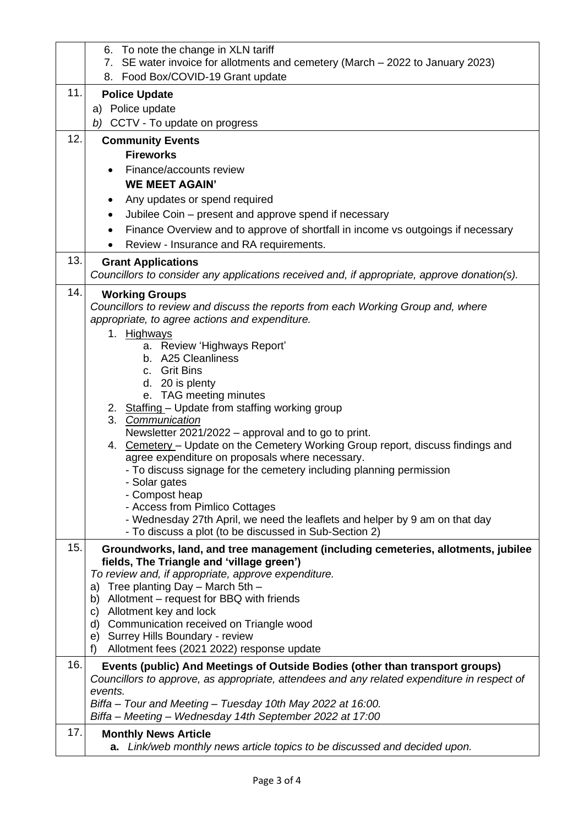|     | 6. To note the change in XLN tariff                                                                    |
|-----|--------------------------------------------------------------------------------------------------------|
|     | 7. SE water invoice for allotments and cemetery (March - 2022 to January 2023)                         |
|     | 8. Food Box/COVID-19 Grant update                                                                      |
| 11. | <b>Police Update</b>                                                                                   |
|     | a) Police update                                                                                       |
|     | b) CCTV - To update on progress                                                                        |
| 12. | <b>Community Events</b>                                                                                |
|     | <b>Fireworks</b>                                                                                       |
|     | Finance/accounts review                                                                                |
|     | <b>WE MEET AGAIN'</b>                                                                                  |
|     | Any updates or spend required                                                                          |
|     | Jubilee Coin – present and approve spend if necessary                                                  |
|     | Finance Overview and to approve of shortfall in income vs outgoings if necessary                       |
|     | Review - Insurance and RA requirements.                                                                |
| 13. | <b>Grant Applications</b>                                                                              |
|     | Councillors to consider any applications received and, if appropriate, approve donation(s).            |
| 14. | <b>Working Groups</b>                                                                                  |
|     | Councillors to review and discuss the reports from each Working Group and, where                       |
|     | appropriate, to agree actions and expenditure.                                                         |
|     | 1. Highways                                                                                            |
|     | a. Review 'Highways Report'<br>b. A25 Cleanliness                                                      |
|     | c. Grit Bins                                                                                           |
|     | d. 20 is plenty                                                                                        |
|     | e. TAG meeting minutes                                                                                 |
|     | 2. Staffing - Update from staffing working group                                                       |
|     | 3. Communication<br>Newsletter 2021/2022 – approval and to go to print.                                |
|     | 4. Cemetery - Update on the Cemetery Working Group report, discuss findings and                        |
|     | agree expenditure on proposals where necessary.                                                        |
|     | - To discuss signage for the cemetery including planning permission                                    |
|     | - Solar gates<br>- Compost heap                                                                        |
|     | - Access from Pimlico Cottages                                                                         |
|     | - Wednesday 27th April, we need the leaflets and helper by 9 am on that day                            |
|     | - To discuss a plot (to be discussed in Sub-Section 2)                                                 |
| 15. | Groundworks, land, and tree management (including cemeteries, allotments, jubilee                      |
|     | fields, The Triangle and 'village green')                                                              |
|     | To review and, if appropriate, approve expenditure.                                                    |
|     | Tree planting Day - March 5th -<br>a)<br>b) Allotment – request for BBQ with friends                   |
|     | Allotment key and lock<br>C)                                                                           |
|     | Communication received on Triangle wood<br>d)                                                          |
|     | e) Surrey Hills Boundary - review                                                                      |
|     | Allotment fees (2021 2022) response update<br>f)                                                       |
| 16. | Events (public) And Meetings of Outside Bodies (other than transport groups)                           |
|     | Councillors to approve, as appropriate, attendees and any related expenditure in respect of<br>events. |
|     | Biffa - Tour and Meeting - Tuesday 10th May 2022 at 16:00.                                             |
|     | Biffa - Meeting - Wednesday 14th September 2022 at 17:00                                               |
| 17. | <b>Monthly News Article</b>                                                                            |
|     | a. Link/web monthly news article topics to be discussed and decided upon.                              |